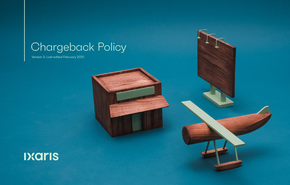# Chargeback Policy

Version 3. Last edited February 2021.

# 

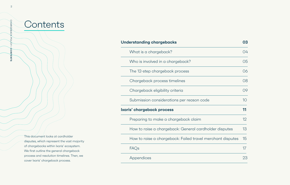## **Understanding chargebacks 03**

**Ixaris' chargeback process** 

| erstanding chargebacks                                     | 03 |
|------------------------------------------------------------|----|
| What is a chargeback?                                      | 04 |
| Who is involved in a chargeback?                           | 05 |
| The 12-step chargeback process                             | 06 |
| Chargeback process timelines                               | 08 |
| Chargeback eligibility criteria                            | 09 |
| Submission considerations per reason code                  | 10 |
| s' chargeback process                                      | 11 |
| Preparing to make a chargeback claim                       | 12 |
| How to raise a chargeback: General cardholder disputes     | 13 |
| How to raise a chargeback: Failed travel merchant disputes | 15 |
| FAQs                                                       | 17 |
| Appendices                                                 | 23 |
|                                                            |    |



**Contents** 

This document looks at cardholder disputes, which represent the vast majority of chargebacks within Ixaris' ecosystem. We first outline the general chargeback process and resolution timelines. Then, we cover Ixaris' chargeback process.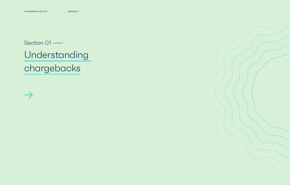# Understanding chargebacks

# Section 01 —



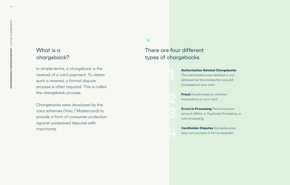# What is a chargeback?

In simple terms, a chargeback is the reversal of a card payment. To obtain such a reversal, a formal dispute process is often required. This is called the chargeback process.

**Fraud** Unauthorised or unknown transactions on your card

Chargebacks were developed by the card schemes (Visa / Mastercard) to provide a form of consumer protection against unresolved disputes with merchants.

**Errors in Processing** The transaction amount differs, or Duplicate Processing, or Late processing

#### **Authorisation Related Chargebacks**

The authorisation was declined or not obtained but the transaction was still processed on your card

**Cardholder Disputes** Goods/services were not provided or not as expected

## ↘

# There are four different types of chargebacks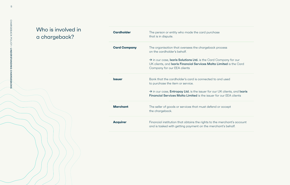# Who is involved in a chargeback?

Company for our Limited is the Card

**I** and used

UK clients, and <mark>Ixaris</mark> For our EEA clients

**Merchan** accept

e merchant's account chant's behalf.

| <b>Cardholder</b>   | The person or entity who made the card purchase<br>that is in dispute.                                                                                        |
|---------------------|---------------------------------------------------------------------------------------------------------------------------------------------------------------|
| <b>Card Company</b> | The organisation that oversees the chargeback process<br>on the cardholder's behalf.                                                                          |
|                     | $\rightarrow$ in our case, Ixaris Solutions Ltd. is the Card Compan<br>UK clients, and Ixaris Financial Services Malta Limited<br>Company for our EEA clients |
| <b>Issuer</b>       | Bank that the cardholder's card is connected to and use<br>to purchase the item or service.                                                                   |
|                     | $\rightarrow$ in our case, Entropay Ltd. is the issuer for our UK clies<br>Financial Services Malta Limited is the issuer for our El                          |
| <b>Merchant</b>     | The seller of goods or services that must defend or acce<br>the chargeback.                                                                                   |
| <b>Acquirer</b>     | Financial institution that obtains the rights to the merche<br>and is tasked with getting payment on the merchant's b                                         |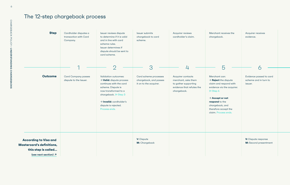# The 12-step chargeback process

| <b>Step</b>                                                                                                     | Cardholder disputes a<br>transaction with Card<br>Company. | Issuer reviews dispute<br>to determine if it is valid<br>and in line with card<br>scheme rules.<br>Issuer determines if<br>dispute should be sent to<br>card scheme.                                                                                  | Issuer submits<br>chargeback to card<br>scheme.                           | Acquirer reviews<br>cardholder's claim.                                                                      | Merchant receives the<br>chargeback.                                                                                                                                                                                                                     | Acquirer recei<br>evidence.               |
|-----------------------------------------------------------------------------------------------------------------|------------------------------------------------------------|-------------------------------------------------------------------------------------------------------------------------------------------------------------------------------------------------------------------------------------------------------|---------------------------------------------------------------------------|--------------------------------------------------------------------------------------------------------------|----------------------------------------------------------------------------------------------------------------------------------------------------------------------------------------------------------------------------------------------------------|-------------------------------------------|
|                                                                                                                 | ◀                                                          | $\overline{2}$                                                                                                                                                                                                                                        | 3                                                                         | 4                                                                                                            | 5                                                                                                                                                                                                                                                        |                                           |
| <b>Outcome</b>                                                                                                  | <b>Card Company passes</b><br>dispute to the Issuer.       | Validation outcomes:<br>$\rightarrow$ Valid: dispute process<br>continues with the card<br>scheme. Dispute is<br>now transformed to a<br>chargeback. $\mapsto$ Step 3<br>$\rightarrow$ Invalid: cardholder's<br>dispute is rejected.<br>Process ends. | Card scheme processes<br>chargeback, and passes<br>it on to the acquirer. | Acquirer contacts<br>merchant, asks them<br>to gather supporting<br>evidence that refutes the<br>chargeback. | Merchant can:<br>$\rightarrow$ <b>Reject</b> the dispute<br>claim and respond with<br>evidence via the acquirer.<br>$\mapsto$ Step 6<br>$\rightarrow$ Accept or not<br>respond to the<br>chargeback, and<br>therefore accept the<br>claim. Process ends. | Evidence pass<br>scheme and ir<br>issuer. |
| <b>According to Visa and</b><br><b>Mastercard's definitions,</b><br>this step is called<br>(see next section) 7 |                                                            |                                                                                                                                                                                                                                                       | <b>V:</b> Dispute<br>M: Chargeback                                        |                                                                                                              |                                                                                                                                                                                                                                                          | V: Dispute res<br><b>M:</b> Second pre    |

**V:** Dispute response **M:** Second presentment

Evidence passed to card scheme and in turn to issuer.

Acquirer receives evidence.

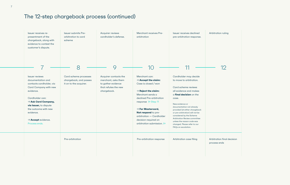# The 12-step chargeback process (continued)



#### Arbitration ruling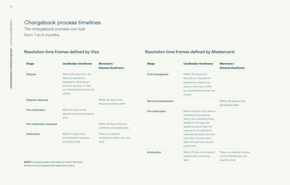# Chargeback process timelines

The chargeback process can last from 1 to 6 months.

## Resolution time frames defined by Visa Resolution time frames defined by Mastercard

**Merchant / Scheme timeframe**

Within 45 days of the processing date.

| <b>Stage</b>                                                                                                   | <b>Cardholder timeframe</b>                                                                                                                               | Merchant/<br><b>Scheme timeframe</b>                         | <b>Stage</b>              | <b>Cardholder timeframe</b>                                                                                                                               |
|----------------------------------------------------------------------------------------------------------------|-----------------------------------------------------------------------------------------------------------------------------------------------------------|--------------------------------------------------------------|---------------------------|-----------------------------------------------------------------------------------------------------------------------------------------------------------|
| <b>Dispute</b>                                                                                                 | Within 120 days from the<br>date you received (or<br>expected to receive) your<br>goods or services, or after<br>you realised the services had<br>ceased. |                                                              | <b>First chargeback</b>   | Within 120 days from<br>the date you received (or<br>expected to receive) your<br>goods or services, or after<br>you realised the services had<br>ceased. |
| <b>Dispute response</b>                                                                                        |                                                                                                                                                           | Within 30 days of the<br>dispute processing date.            | <b>Second presentment</b> |                                                                                                                                                           |
| Pre-arbitration                                                                                                | Within 30 days of the<br>dispute response processing<br>date.                                                                                             |                                                              | <b>Pre-arbitration</b>    | Within 45 days of the second<br>presentment processing<br>date, if pre-arbitration filing                                                                 |
| Pre-arbitration response                                                                                       |                                                                                                                                                           | Within 30 days of the pre-<br>arbitration processing date.   |                           | deadline of 45 days still<br>applies (acquirer does not<br>respond to pre-arbitration                                                                     |
| Arbitration                                                                                                    | Within 10 days of the<br>pre-arbitration response<br>processing date.                                                                                     | There is no defined<br>timeframe in which Visa can<br>reply. |                           | attempt), escalation decision<br>and action must be taken<br>within 75 days from second<br>presetment.                                                    |
| NOTE $D_{\text{reco}}$ and $D_{\text{reco}}$ and $D_{\text{reco}}$ and $D_{\text{reco}}$ and $D_{\text{reco}}$ |                                                                                                                                                           |                                                              | Arbitration               | Within 75 days of the second<br>presentment processing<br>date.                                                                                           |

There is no defined timeline in which Mastercard can issue its ruling.

**NOTE** Processing date is the date on which the Card Scheme has processed the respective action.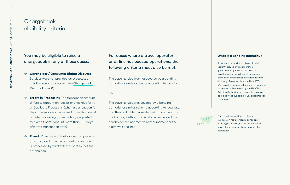# **Chargeback** eligibility criteria

You may be eligible to raise a chargeback in any of these cases:

- → **Cardholder / Consumer Rights Disputes**  Services were not provided as expected, or credit was not processed. (See Chargeback Dispute Form *∧*)
- → **Errors in Processing** The transaction amount differs to amount on receipt or checkout form, or Duplicate Processing (when a transaction for the same service is processed more than once), or Late processing (when a charge is posted to a credit card account more than 180 days after the transaction date).
- → **Fraud** When the card details are compromised (non T&E) and an unrecognised transaction is processed by third/external parties (not the cardholder).

For cases where a travel operator or airline has ceased operations, the following criteria must also be met:

The travel service was not covered by a bonding authority or similar scheme according to local law.

**OR** 

The travel service was covered by a bonding authority or similar scheme according to local law, and the cardholder requested reimbursement from the bonding authority or similar scheme, and the cardholder did not receive reimbursement or the claim was declined.



For more information, to obtain submission requirements, or for any other type of chargeback not described here, please contact Ixaris support for assistance.

#### **What is a bonding authority?**

A bonding authority is a type of debt security issued by a corporate or government agency. In the case of travel, it can offer a level of consumer protection when travel operators fall into difficulty. An example is the UK's ATOL (Air Travel Organiser's Licence), a financial protection scheme run by the UK Civil Aviation Authority that protects most air package holidays sold by UK-based travel businesses.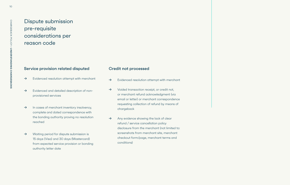# Dispute submission pre-requisite considerations per reason code

## Service provision related disputed

- $\rightarrow$  Evidenced resolution attempt with merchant
- → Evidenced and detailed description of nonprovisioned services
- → In cases of merchant inventory insolvency, complete and dated correspondence with the bonding authority proving no resolution reached
- →Waiting period for dispute submission is 15 days (Visa) and 30 days (Mastercard) from expected service provision or bonding authority letter date

### Credit not processed

- →Evidenced resolution attempt with merchant
- →Voided transaction receipt, or credit not, or merchant refund acknowledgment (via email or letter) or merchant correspondence requesting collection of refund by means of chargeback
- → Any evidence showing the lack of clear refund / service cancellation policy disclosure from the merchant (not limited to: screenshots from merchant site, merchant checkout form/page, merchant terms and conditions)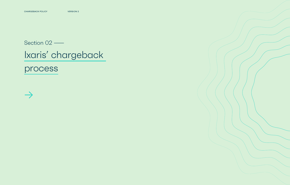# Section 02 —

# Ixaris' chargeback

process



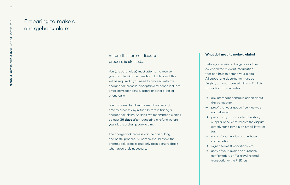# Preparing to make a chargeback claim

## Before this formal dispute process is started...

You (the cardholder) must attempt to resolve your dispute with the merchant. Evidence of this will be required if you need to proceed with the chargeback process. Acceptable evidence includes email correspondence, letters or details logs of phone calls.

You also need to allow the merchant enough time to process any refund before initiating a chargeback claim. At Ixaris, we recommend waiting at least **30 days** after requesting a refund before you initiate a chargeback claim.

The chargeback process can be a very long and costly process. All parties should avoid the chargeback process and only raise a chargeback when absolutely necessary.

### **What do I need to make a claim?**

- Before you make a chargeback claim, collect all the relevant information that can help to defend your claim. All supporting documents must be in English, or accompanied with an English translation. This includes:
- $\rightarrow$  any merchant communication about the transaction
- $\rightarrow$  proof that your goods / service was not delivered
- $\rightarrow$  proof that you contacted the shop,
	- supplier or seller to resolve the dispute
	- directly (for example an email, letter or
- 
- 
- 
- 
- fax)
- 
- 
- $\rightarrow$  copy of your invoice or purchase confirmation  $\rightarrow$  signed terms & conditions, etc.  $\rightarrow$  copy of your invoice or purchase confirmation, or (for travel related
	- transactions) the PNR log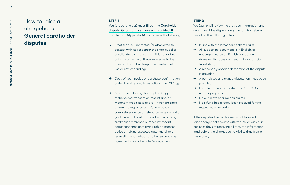# How to raise a chargeback: **General cardholder disputes**

### **STEP 1**

You (the cardholder) must fill out the Cardholder dispute: Goods and services not provided ↗ dispute form (Appendix A) and provide the following:

- $\rightarrow$  Proof that you contacted (or attempted to contact with no response) the shop, supplier or seller (for example an email, letter or fax, or in the absence of these, reference to the merchant-supplied telephone number not in use or not responding)
- $\rightarrow$  Copy of your invoice or purchase confirmation, or (for travel related transactions) the PNR log
- $\rightarrow$  Any of the following that applies: Copy of the voided transaction receipt and/or Merchant credit note and/or Merchant site's automatic response on refund process, complete evidence of refund process activation (such as email confirmation, banner on site, credit case reference number, merchant correspondence confirming refund process active or refund expected date, merchant requesting chargeback or other evidence as agreed with Ixaris Dispute Management).

 $\rightarrow$  In line with the latest card scheme rules  $\rightarrow$  All supporting document is in English, or accompanied by an English translation (however, this does not need to be an official

 $\rightarrow$  A reasonably specific description of the dispute

 $\rightarrow$  A completed and signed dispute form has been

#### **STEP 2**

We (Ixaris) will review the provided information and determine if the dispute is eligible for chargeback based on the following criteria:

- 
- translation)
- is provided
- provided
- currency equivalent)
- 
- respective transaction

→ Dispute amount is greater than GBP 15 (or

 $\rightarrow$  No duplicate chargeback claims

 $\rightarrow$  No refund has already been received for the

If the dispute claim is deemed valid, Ixaris will raise chargebacks claims with the Issuer within 15 business days of receiving all required information (and before the chargeback eligibility time frame

has closed).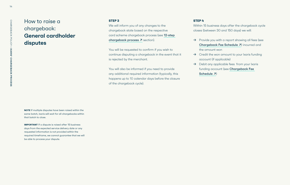# How to raise a chargeback: **General cardholder disputes**

We will inform you of any changes to the chargeback state based on the respective card scheme chargeback process (see 12-step chargeback process  $\bar{z}$  section).

#### **STEP 3**

You will be requested to confirm if you wish to continue disputing a chargeback in the event that it is rejected by the merchant.

You will also be informed if you need to provide any additional required information (typically, this happens up to 10 calendar days before the closure of the chargeback cycle).

- - the amount won
- account (if applicable)
- Schedule *∧*)

**NOTE** If multiple disputes have been raised within the same batch, Ixaris will wait for all chargebacks within that batch to close.

**IMPORTANT** If a dispute is raised after 15 business days from the expected service delivery date or any requested information is not provided within the required timeframe, we cannot guarantee that we will be able to process your dispute.

#### **STEP 4**

Within 15 business days after the chargeback cycle closes (between 30 and 150 days) we will:

funding account (see Chargeback Fee

 $\rightarrow$  Provide you with a report showing all fees (see Chargeback Fee Schedule 对) incurred and

 $\rightarrow$  Credit the won amount to your Ixaris funding

 $\rightarrow$  Debit any applicable fees from your Ixaris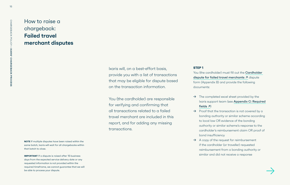# How to raise a chargeback: **Failed travel merchant disputes**

#### **STEP 1**

You (the cardholder) must fill out the **Cardholder** dispute for failed travel merchants 7 dispute form (Appendix B) and provide the following documents:

 $\rightarrow$  The completed excel sheet provided by the Ixaris support team (see Appendix C: Required

- fields  $\overline{A}$
- $\rightarrow$  Proof that the transaction is not covered by a bonding authority or similar scheme according to local law OR evidence of the bonding authority or similar scheme's response to the cardholder's reimbursement claim OR proof of bond insufficiency  $\rightarrow$  A copy of the request for reimbursement if the cardholder (or traveller) requested
- reimbursement from a bonding authority or similar and did not receive a response

**IMPORTANT** If a dispute is raised after 15 business days from the expected service delivery date or any requested information is not provided within the required timeframe, we cannot guarantee that we will be able to process your dispute.

**NOTE** If multiple disputes have been raised within the same batch, Ixaris will wait for all chargebacks within that batch to close.

Ixaris will, on a best-effort basis, provide you with a list of transactions that may be eligible for dispute based on the transaction information.

You (the cardholder) are responsible for verifying and confirming that all transactions related to a failed travel merchant are included in this report, and for adding any missing transactions.

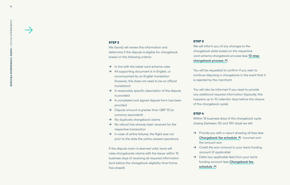### **STEP 2**

We (Ixaris) will review this information and determine if the dispute is eligible for chargeback based on the following criteria:

- $\rightarrow$  In line with the latest card scheme rules
- $\rightarrow$  All supporting document is in English, or accompanied by an English translation (however, this does not need to be an official translation)
- $\rightarrow$  A reasonably specific description of the dispute is provided
- $\rightarrow$  A completed and signed dispute form has been provided
- $\rightarrow$  Dispute amount is greater than GBP 15 (or currency equivalent)
- $\rightarrow$  No duplicate chargeback claims
- $\rightarrow$  No refund has already been received for the respective transaction
- $\rightarrow$  In case of airline failures, the flight was not prior to the date the airline ceased operations

We will inform you of any changes to the chargeback state based on the respective card scheme chargeback process (see 12-step chargeback process  $\boldsymbol{\lambda}$ ).

- the amount won
- account (if applicable)
- - schedule *⁊*)

If the dispute claim is deemed valid, Ixaris will raise chargebacks claims with the Issuer within 15 business days of receiving all required information (and before the chargeback eligibility time frame has closed).

 $\rightarrow$  Provide you with a report showing all fees (see Chargeback fee schedule  $\overline{z}$ ) incurred and  $\rightarrow$  Credit the won amount to your Ixaris funding  $\rightarrow$  Debit any applicable fees from your Ixaris funding account (see Chargeback fee

#### **STEP 3**

You will be requested to confirm if you wish to continue disputing a chargeback in the event that it is rejected by the merchant.

You will also be informed if you need to provide any additional required information (typically, this happens up to 10 calendar days before the closure of the chargeback cycle).

#### **STEP 4**

Within 15 business days of the chargeback cycle closing (between 30 and 150 days) we will:

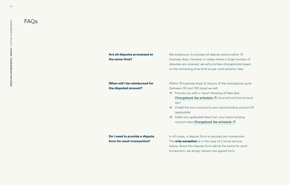We endeavour to process all dispute claims within 15 business days. However, in cases where a large number of disputes are received, we will prioritise chargebacks based on the remaining time limit as per card scheme rules.

Within 15 business days of closure of the chargeback cycle (between 30 and 150 days) we will:

- $\rightarrow$  Provide you with a report showing all fees (see Chargeback fee schedule  $\overline{z}$ ) incurred and the amount won
- $\rightarrow$  Credit the won amount to your Ixaris funding account (if applicable)
- $\rightarrow$  Debit any applicable fees from your Ixaris funding account (see Chargeback fee schedule 7)

In all cases, a dispute form is required per transaction. The **only exception** is in the case of a travel service failure. Since this dispute form will be the same for each transaction, we simply require one signed form.

### **Are all disputes processed at the same time?**

### **When will I be reimbursed for the disputed amount?**

**Do I need to provide a dispute form for each transaction?**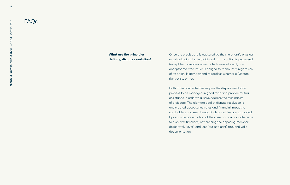Once the credit card is captured by the merchant's physical or virtual point of sale (POS) and a transaction is processed (except for Compliance-restricted areas of event, card acceptor etc,) the Issuer is obliged to "honour" it, regardless of its origin, legitimacy and regardless whether a Dispute right exists or not.

Both main card schemes require the dispute resolution process to be managed in good faith and provide mutual assistance in order to always address the true nature of a dispute. The ultimate goal of dispute resolution is undisrupted acceptance rates and financial impact to cardholders and merchants. Such principles are supported by accurate presentation of the case particulars, adherence to disputes' timelines, not pushing the opposing member deliberately "over" and last (but not least) true and valid documentation.

### **What are the principles defining dispute resolution?**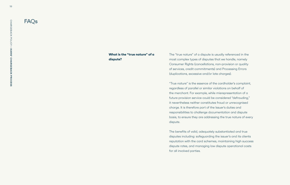The "true nature" of a dispute is usually referenced in the most complex types of disputes that we handle, namely Consumer Rights (cancellations, non-provision or quality of services, credit commitments) and Processing Errors (duplications, excessive and/or late charges).

"True nature" is the essence of the cardholder's complaint, regardless of parallel or similar violations on behalf of the merchant. For example, while misrepresentation of a future provision service could be considered "defrauding," it nevertheless neither constitutes fraud or unrecognised charge. It is therefore part of the Issuer's duties and responsibilities to challenge documentation and dispute basis, to ensure they are addressing the true nature of every dispute.

The benefits of valid, adequately substantiated and true disputes including: safeguarding the issuer's and its clients reputation with the card schemes, maintaining high success dispute rates, and managing low dispute operational costs for all involved parties.

### **What is the "true nature" of a dispute?**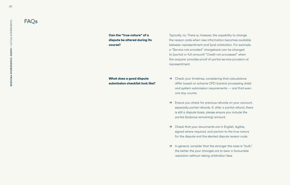Typically, no. There is, however, the capability to change the reason code when new information becomes available between representment and (pre) arbitration. For example, a "Service not provided" chargeback can be changed to (partial or full amount) "Credit not processed" when the acquirer provides proof of partial service provision at representment.

- $\rightarrow$  Check your timelines, considering that calculations differ based on scheme CPD (central processing date) and system submission requirements — and that even one day counts.
- → Ensure you check for previous refunds on your account, especially partial refunds. If, after a partial refund, there is still a dispute basis, please ensure you include the partial (balance remaining) amount.
- $\rightarrow$  Check that your documents are in English, legible, signed where required, and pertain to the true nature for the dispute and the elected dispute reason code.
- $\rightarrow$  In general, consider that the stronger the case is "built," the better the your changes are to bear a favourable resolution without risking arbitration fees.

**Can the "true nature" of a dispute be altered during its course?** 

### **What does a good dispute submission checklist look like?**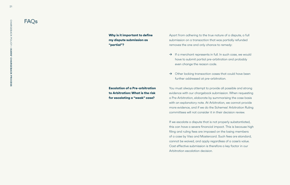Apart from adhering to the true nature of a dispute, a full submission on a transaction that was partially refunded removes the one and only chance to remedy:

- $\rightarrow$  If a merchant represents in full. In such case, we would have to submit partial pre-arbitration and probably even change the reason code.
- → Other lacking transaction cases that could have been further addressed at pre-arbitration.

You must always attempt to provide all possible and strong evidence with our chargeback submission. When requesting a Pre-Arbitration, elaborate by summarising the case basis with an explanatory note. At Arbitration, we cannot provide more evidence, and if we do the Schemes' Arbitration Ruling committees will not consider it in their decision review.

If we escalate a dispute that is not properly substantiated, this can have a severe financial impact. This is because high filing and ruling fees are imposed on the losing members of a case by Visa and Mastercard. Such fees are standard, cannot be waived, and apply regardless of a case's value. Cost effective submission is therefore a key factor in our Arbitration escalation decision.

**Why is it important to define my dispute submission as "partial"?** 

**Escalation of a Pre-arbitration to Arbitration: What is the risk for escalating a "weak" case?**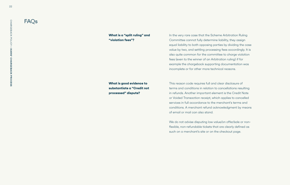In the very rare case that the Scheme Arbitration Ruling Committee cannot fully determine liability, they assign equal liability to both opposing parties by dividing the case value by two, and settling processing fees accordingly. It is also quite common for the committee to charge violation fees (even to the winner of an Arbitration ruling) if for example the chargeback supporting documentation was incomplete or for other more technical reasons.

This reason code requires full and clear disclosure of terms and conditions in relation to cancellations resulting in refunds. Another important element is the Credit Note or Voided Transaction receipt, which applies to cancelled services in full accordance to the merchant's terms and conditions. A merchant refund acknowledgment by means of email or mail can also stand.

We do not advise disputing low value/on offer/sale or nonflexible, non-refundable tickets that are clearly defined as such on a merchant's site or on the checkout page.

**What is a "split ruling" and "violation fees"?**

**What is good evidence to substantiate a "Credit not processed" dispute?**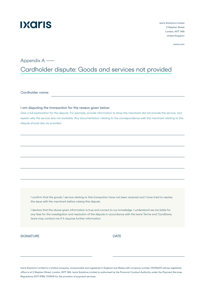Cardholder name:

I am disputing the transaction for the reason given below:

Give a full explanation for the dispute. For example, provide information to show the merchant did not provide the service, and explain why the service was not available. Any documentation relating to the correspondence with the merchant relating to this dispute should also be provided.

# I confirm that the goods / service relating to this transaction have not been received and I have tried to resolve the issue with the merchant before raising this dispute.

I declare that the above-given information is true and correct to our knowledge. I understand we are liable for any fees for the investigation and resolution of the dispute in accordance with the Ixaris Terms and Conditions. Ixaris may contact me if it requires further information.

# SIGNATURE DATE

# Appendix A ——

Cardholder dispute: Goods and services not provided

Ixaris Solutions Limited is a limited company, incorporated and registered in England and Wales with company number 09024600 whose registered office is at 2 Stephen Street, London, W1T 1AN. Ixaris Solutions Limited is authorised by the Financial Conduct Authority under the Payment Services Regulations 2017 (FRN: 721549) for the provision of payment services.

# 

Ixaris Solutions Limited 2 Stephen Street London, W1T 1AN United Kingdom

ixaris.com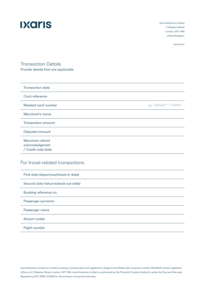# **Dxaris**

Ixaris Solutions Limited 2 Stephen Street London, W1T 1AN United Kingdom

ixaris.com

| <b>Transaction date</b>           |                       |
|-----------------------------------|-----------------------|
| Card reference                    |                       |
| Masked card number                | eg. 123456******67890 |
| Merchant's name                   |                       |
| <b>Transaction amount</b>         |                       |
| Disputed amount                   |                       |
| Merchant refund<br>acknowledgment |                       |
| / Credit note date:               |                       |

| First date (departure/check-in date) |
|--------------------------------------|
| Second date (return/check-out date)  |
| Booking reference no.                |
| Passenger surname                    |
| Passenger name                       |
| Airport codes                        |
| Flight number                        |

# Transaction Details

Provide details that are applicable

# For travel-related transactions

Ixaris Solutions Limited is a limited company, incorporated and registered in England and Wales with company number 09024600 whose registered office is at 2 Stephen Street, London, W1T 1AN. Ixaris Solutions Limited is authorised by the Financial Conduct Authority under the Payment Services Regulations 2017 (FRN: 721549) for the provision of payment services.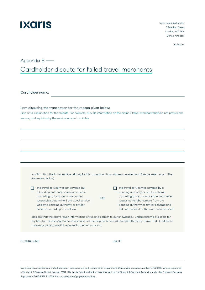Cardholder name:

I am disputing the transaction for the reason given below:

Give a full explanation for the dispute. For example, provide information on the airline / travel merchant that did not provide the service, and explain why the service was not available.

I confirm that the travel service relating to this transaction has not been received and (please select one of the statements below)

# Appendix B —— Cardholder dispute for failed travel merchants

# **Dxaris**

Ixaris Solutions Limited 2 Stephen Street London, W1T 1AN United Kingdom

ixaris.com

Ixaris Solutions Limited is a limited company, incorporated and registered in England and Wales with company number 09024600 whose registered office is at 2 Stephen Street, London, W1T 1AN. Ixaris Solutions Limited is authorised by the Financial Conduct Authority under the Payment Services Regulations 2017 (FRN: 721549) for the provision of payment services.

 the travel service was not covered by a bonding authority or similar scheme according to local law or we cannot reasonably determine if the travel service was by a bonding authority or similar scheme according to local law

I declare that the above-given information is true and correct to our knowledge. I understand we are liable for any fees for the investigation and resolution of the dispute in accordance with the Ixaris Terms and Conditions. Ixaris may contact me if it requires further information.

## SIGNATURE DATE

 the travel service was covered by a bonding authority or similar scheme according to local law and the cardholder requested reimbursement from the bonding authority or similar scheme and did not receive it or the claim was declined.

OR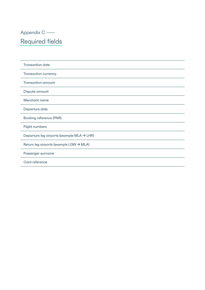# Appendix C —— Required fields

| <b>Transaction date</b>                                |
|--------------------------------------------------------|
| <b>Transaction currency</b>                            |
| <b>Transaction amount</b>                              |
| Dispute amount                                         |
| Merchant name                                          |
| Departure date                                         |
| Booking reference (PNR)                                |
| Flight numbers                                         |
| Departure leg airports (example MLA $\rightarrow$ LHR) |
| Return leg airports (example LGW → MLA)                |

Passenger surname

Card reference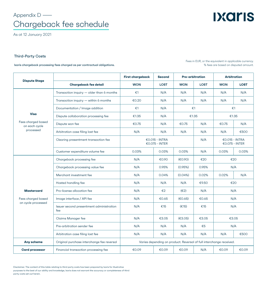# Appendix D —— Chargeback fee schedule

As at 12 January 2021

|                                                               |                                                 | <b>First chargeback</b>                                             | <b>Second</b>                      | <b>Pre-arbitration</b> |                         | <b>Arbitration</b>                   |             |
|---------------------------------------------------------------|-------------------------------------------------|---------------------------------------------------------------------|------------------------------------|------------------------|-------------------------|--------------------------------------|-------------|
| <b>Dispute Stage</b>                                          | <b>Chargeback fee detail</b>                    | <b>WON</b>                                                          | <b>LOST</b>                        | <b>WON</b>             | <b>LOST</b>             | <b>WON</b>                           | <b>LOST</b> |
|                                                               | Transaction inquiry — older than 6 months       | $\epsilon$ 1                                                        | N/A                                | N/A                    | N/A                     | N/A                                  | N/A         |
|                                                               | Transaction inquiry — within 6 months           | € $0.20$                                                            | N/A                                | N/A                    | N/A                     | N/A                                  | N/A         |
|                                                               | Documentation / Image addition                  | $\epsilon$ 1                                                        | N/A                                | $\epsilon$ 1           |                         | $\epsilon$ 1                         |             |
| <b>Visa</b>                                                   | Dispute collaboration processing fee            | €1.35                                                               | N/A                                | €1.35                  |                         | €1.35                                |             |
| Fees charged based<br>on each cycle                           | Dispute won fee                                 | €0.75                                                               | N/A                                | €0.75                  | N/A                     | €0.75                                | N/A         |
| processed                                                     | Arbitration case filing lost fee                | N/A                                                                 | N/A                                | N/A                    | N/A                     | N/A                                  | €500        |
|                                                               | Clearing presentment transaction fee            |                                                                     | $€0.015 - INTRA$<br>€0.075 - INTER | N/A                    |                         | $€0.015 - INTRA$<br>$€0.075 - INTER$ |             |
|                                                               | Customer expenditure volume fee                 | 0.03%                                                               | 0.03%                              | 0.03%                  | N/A                     | 0.03%                                | 0.03%       |
| <b>Mastercard</b><br>Fees charged based<br>on cycle processed | Chargeback processing fee                       | N/A                                                                 | €0.90                              | €0.90)                 | €20                     | €20                                  |             |
|                                                               | Chargeback processing value fee                 | N/A                                                                 | 0.95%                              | (0.95%)                | 0.95%                   | N/A                                  |             |
|                                                               | Merchant investment fee                         | N/A                                                                 | 0.04%                              | $(0.04\%)$             | 0.02%                   | 0.02%                                | N/A         |
|                                                               | Hosted handling fee                             | N/A                                                                 | N/A                                | N/A                    | €9.50                   | €20                                  |             |
|                                                               | Pro-license allocation fee                      | N/A                                                                 | $\epsilon$ 2                       | $(\epsilon 2)$         | N/A                     | N/A                                  |             |
|                                                               | Image interface / API fee                       | N/A                                                                 | €0.65                              | (60.65)                | € $0.65$                | N/A                                  |             |
|                                                               | Issuer second presentment administration<br>fee | N/A                                                                 | €15                                | (E15)                  | €15                     | N/A                                  |             |
|                                                               | <b>Claims Manager fee</b>                       | N/A                                                                 | €3.05                              | €3.05)                 | €3.05                   | €3.05                                |             |
|                                                               | Pre-arbitration sender fee                      | N/A                                                                 | N/A                                | N/A                    | $\epsilon$ <sub>5</sub> | N/A                                  |             |
|                                                               | Arbitration case filing lost fee                | N/A                                                                 | N/A                                | N/A                    | N/A                     | N/A                                  | €500        |
| <b>Any scheme</b>                                             | Original purchase interchange fee reversal      | Varies depending on product. Reversal of full interchange received. |                                    |                        |                         |                                      |             |
| <b>Card processor</b>                                         | Financial transaction processing fee            | €0.09                                                               | €0.09                              | €0.09                  | N/A                     | €0.09                                | €0.09       |

**Dxaris** 

Disclaimer. The content of this table relating to third party costs has been prepared by Ixaris for illustrative purposes to the best of our ability and knowledge, Ixaris does not warrant the accuracy or completeness of third party costs set out herein.

Fees in EUR, or the equivalent in applicable currency. % fees are based on disputed amount.

## Third-Party Costs

Ixaris chargeback processing fees charged as per contractual obligations.